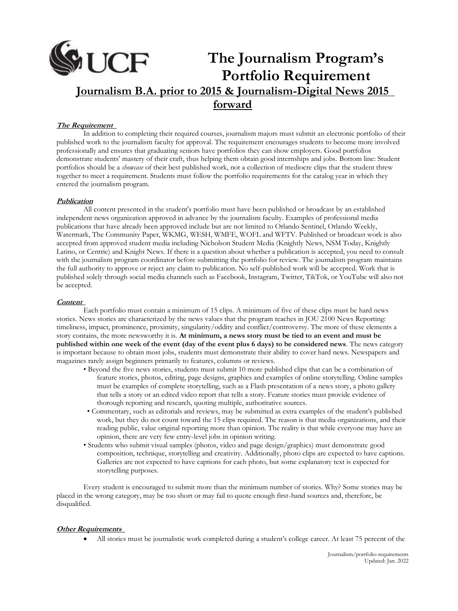# **The Journalism Program's Portfolio Requirement Journalism B.A. prior to 2015 & Journalism-Digital News 2015 forward**

#### **The Requirement**

In addition to completing their required courses, journalism majors must submit an electronic portfolio of their published work to the journalism faculty for approval. The requirement encourages students to become more involved professionally and ensures that graduating seniors have portfolios they can show employers. Good portfolios demonstrate students' mastery of their craft, thus helping them obtain good internships and jobs. Bottom line: Student portfolios should be a *showcase* of their best published work, not a collection of mediocre clips that the student threw together to meet a requirement. Students must follow the portfolio requirements for the catalog year in which they entered the journalism program.

#### **Publication**

All content presented in the student's portfolio must have been published or broadcast by an established independent news organization approved in advance by the journalism faculty. Examples of professional media publications that have already been approved include but are not limited to Orlando Sentinel, Orlando Weekly, Watermark, The Community Paper, WKMG, WESH, WMFE, WOFL and WFTV. Published or broadcast work is also accepted from approved student media including Nicholson Student Media (Knightly News, NSM Today, Knightly Latino, or Centric) and Knight News. If there is a question about whether a publication is accepted, you need to consult with the journalism program coordinator before submitting the portfolio for review. The journalism program maintains the full authority to approve or reject any claim to publication. No self-published work will be accepted. Work that is published solely through social media channels such as Facebook, Instagram, Twitter, TikTok, or YouTube will also not be accepted.

#### **Content**

Each portfolio must contain a minimum of 15 clips. A minimum of five of these clips must be hard news stories. News stories are characterized by the news values that the program teaches in JOU 2100 News Reporting: timeliness, impact, prominence, proximity, singularity/oddity and conflict/controversy. The more of these elements a story contains, the more newsworthy it is. **At minimum, a news story must be tied to an event and must be published within one week of the event (day of the event plus 6 days) to be considered news**. The news category is important because to obtain most jobs, students must demonstrate their ability to cover hard news. Newspapers and magazines rarely assign beginners primarily to features, columns or reviews.

- Beyond the five news stories, students must submit 10 more published clips that can be a combination of feature stories, photos, editing, page designs, graphics and examples of online storytelling. Online samples must be examples of complete storytelling, such as a Flash presentation of a news story, a photo gallery that tells a story or an edited video report that tells a story. Feature stories must provide evidence of thorough reporting and research, quoting multiple, authoritative sources.
- Commentary, such as editorials and reviews, may be submitted as extra examples of the student's published work, but they do not count toward the 15 clips required. The reason is that media organizations, and their reading public, value original reporting more than opinion. The reality is that while everyone may have an opinion, there are very few entry-level jobs in opinion writing.
- Students who submit visual samples (photos, video and page design/graphics) must demonstrate good composition, technique, storytelling and creativity. Additionally, photo clips are expected to have captions. Galleries are not expected to have captions for each photo, but some explanatory text is expected for storytelling purposes.

Every student is encouraged to submit more than the minimum number of stories. Why? Some stories may be placed in the wrong category, may be too short or may fail to quote enough first-hand sources and, therefore, be disqualified.

## **Other Requirements**

• All stories must be journalistic work completed during a student's college career. At least 75 percent of the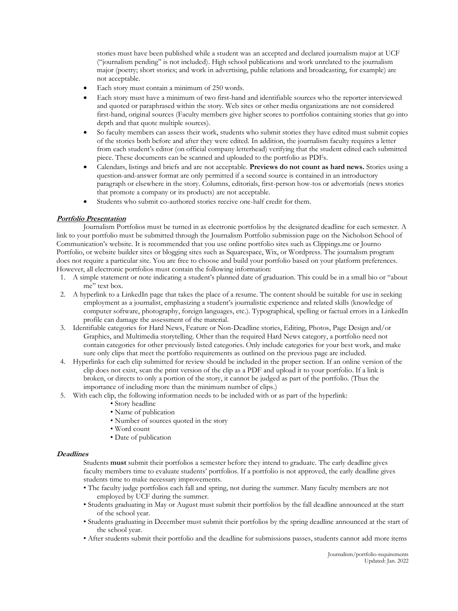stories must have been published while a student was an accepted and declared journalism major at UCF ("journalism pending'' is not included). High school publications and work unrelated to the journalism major (poetry; short stories; and work in advertising, public relations and broadcasting, for example) are not acceptable.

- Each story must contain a minimum of 250 words.
- Each story must have a minimum of two first-hand and identifiable sources who the reporter interviewed and quoted or paraphrased within the story. Web sites or other media organizations are not considered first-hand, original sources (Faculty members give higher scores to portfolios containing stories that go into depth and that quote multiple sources).
- So faculty members can assess their work, students who submit stories they have edited must submit copies of the stories both before and after they were edited. In addition, the journalism faculty requires a letter from each student's editor (on official company letterhead) verifying that the student edited each submitted piece. These documents can be scanned and uploaded to the portfolio as PDFs.
- Calendars, listings and briefs and are not acceptable. **Previews do not count as hard news.** Stories using a question-and-answer format are only permitted if a second source is contained in an introductory paragraph or elsewhere in the story. Columns, editorials, first-person how-tos or advertorials (news stories that promote a company or its products) are not acceptable.
- Students who submit co-authored stories receive one-half credit for them.

## **Portfolio Presentation**

Journalism Portfolios must be turned in as electronic portfolios by the designated deadline for each semester. A link to your portfolio must be submitted through the Journalism Portfolio submission page on the Nicholson School of Communication's website. It is recommended that you use online portfolio sites such as Clippings.me or Journo Portfolio, or website builder sites or blogging sites such as Squarespace, Wix, or Wordpress. The journalism program does not require a particular site. You are free to choose and build your portfolio based on your platform preferences. However, all electronic portfolios must contain the following information:

- 1. A simple statement or note indicating a student's planned date of graduation. This could be in a small bio or "about me" text box.
- 2. A hyperlink to a LinkedIn page that takes the place of a resume. The content should be suitable for use in seeking employment as a journalist, emphasizing a student's journalistic experience and related skills (knowledge of computer software, photography, foreign languages, etc.). Typographical, spelling or factual errors in a LinkedIn profile can damage the assessment of the material.
- 3. Identifiable categories for Hard News, Feature or Non-Deadline stories, Editing, Photos, Page Design and/or Graphics, and Multimedia storytelling. Other than the required Hard News category, a portfolio need not contain categories for other previously listed categories. Only include categories for your best work, and make sure only clips that meet the portfolio requirements as outlined on the previous page are included.
- 4. Hyperlinks for each clip submitted for review should be included in the proper section. If an online version of the clip does not exist, scan the print version of the clip as a PDF and upload it to your portfolio. If a link is broken, or directs to only a portion of the story, it cannot be judged as part of the portfolio. (Thus the importance of including more than the minimum number of clips.)
- 5. With each clip, the following information needs to be included with or as part of the hyperlink:
	- Story headline
	- Name of publication
	- Number of sources quoted in the story
	- Word count
	- Date of publication

## **Deadlines**

Students **must** submit their portfolios a semester before they intend to graduate. The early deadline gives faculty members time to evaluate students' portfolios. If a portfolio is not approved, the early deadline gives students time to make necessary improvements.

- The faculty judge portfolios each fall and spring, not during the summer. Many faculty members are not employed by UCF during the summer.
- Students graduating in May or August must submit their portfolios by the fall deadline announced at the start of the school year.
- Students graduating in December must submit their portfolios by the spring deadline announced at the start of the school year.
- After students submit their portfolio and the deadline for submissions passes, students cannot add more items